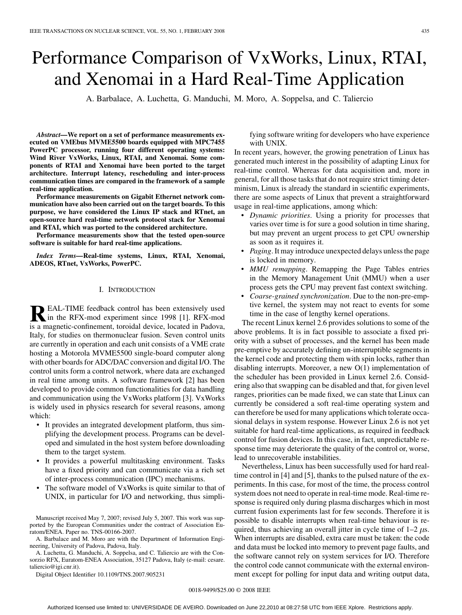# Performance Comparison of VxWorks, Linux, RTAI, and Xenomai in a Hard Real-Time Application

A. Barbalace, A. Luchetta, G. Manduchi, M. Moro, A. Soppelsa, and C. Taliercio

*Abstract—***We report on a set of performance measurements executed on VMEbus MVME5500 boards equipped with MPC7455 PowerPC processor, running four different operating systems: Wind River VxWorks, Linux, RTAI, and Xenomai. Some components of RTAI and Xenomai have been ported to the target architecture. Interrupt latency, rescheduling and inter-process communication times are compared in the framework of a sample real-time application.**

**Performance measurements on Gigabit Ethernet network communication have also been carried out on the target boards. To this purpose, we have considered the Linux IP stack and RTnet, an open-source hard real-time network protocol stack for Xenomai and RTAI, which was ported to the considered architecture.**

**Performance measurements show that the tested open-source software is suitable for hard real-time applications.**

*Index Terms—***Real-time systems, Linux, RTAI, Xenomai, ADEOS, RTnet, VxWorks, PowerPC.**

## I. INTRODUCTION

**REAL-TIME feedback control has been extensively used**<br>in the RFX-mod experiment since 1998 [1]. RFX-mod<br>is a magnetic confinement toroidal device, located in Padova is a magnetic-confinement, toroidal device, located in Padova, Italy, for studies on thermonuclear fusion. Seven control units are currently in operation and each unit consists of a VME crate hosting a Motorola MVME5500 single-board computer along with other boards for ADC/DAC conversion and digital I/O. The control units form a control network, where data are exchanged in real time among units. A software framework [2] has been developed to provide common functionalities for data handling and communication using the VxWorks platform [3]. VxWorks is widely used in physics research for several reasons, among which:

- It provides an integrated development platform, thus simplifying the development process. Programs can be developed and simulated in the host system before downloading them to the target system.
- It provides a powerful multitasking environment. Tasks have a fixed priority and can communicate via a rich set of inter-process communication (IPC) mechanisms.
- The software model of VxWorks is quite similar to that of UNIX, in particular for I/O and networking, thus simpli-

A. Barbalace and M. Moro are with the Department of Information Engineering, University of Padova, Padova, Italy.

A. Luchetta, G. Manduchi, A. Soppelsa, and C. Taliercio are with the Consorzio RFX, Euratom-ENEA Association, 35127 Padova, Italy (e-mail: cesare. taliercio@igi.cnr.it).

Digital Object Identifier 10.1109/TNS.2007.905231

fying software writing for developers who have experience with UNIX.

In recent years, however, the growing penetration of Linux has generated much interest in the possibility of adapting Linux for real-time control. Whereas for data acquisition and, more in general, for all those tasks that do not require strict timing determinism, Linux is already the standard in scientific experiments, there are some aspects of Linux that prevent a straightforward usage in real-time applications, among which:

- *Dynamic priorities*. Using a priority for processes that varies over time is for sure a good solution in time sharing, but may prevent an urgent process to get CPU ownership as soon as it requires it.
- *Paging*. It may introduce unexpected delays unless the page is locked in memory.
- *MMU remapping*. Remapping the Page Tables entries in the Memory Management Unit (MMU) when a user process gets the CPU may prevent fast context switching.
- *Coarse-grained synchronization*. Due to the non-pre-emptive kernel, the system may not react to events for some time in the case of lengthy kernel operations.

The recent Linux kernel 2.6 provides solutions to some of the above problems. It is in fact possible to associate a fixed priority with a subset of processes, and the kernel has been made pre-emptive by accurately defining un-interruptible segments in the kernel code and protecting them with spin locks, rather than disabling interrupts. Moreover, a new O(1) implementation of the scheduler has been provided in Linux kernel 2.6. Considering also that swapping can be disabled and that, for given level ranges, priorities can be made fixed, we can state that Linux can currently be considered a soft real-time operating system and can therefore be used for many applications which tolerate occasional delays in system response. However Linux 2.6 is not yet suitable for hard real-time applications, as required in feedback control for fusion devices. In this case, in fact, unpredictable response time may deteriorate the quality of the control or, worse, lead to unrecoverable instabilities.

Nevertheless, Linux has been successfully used for hard realtime control in [4] and [5], thanks to the pulsed nature of the experiments. In this case, for most of the time, the process control system does not need to operate in real-time mode. Real-time response is required only during plasma discharges which in most current fusion experiments last for few seconds. Therefore it is possible to disable interrupts when real-time behaviour is required, thus achieving an overall jitter in cycle time of  $1-2 \mu s$ . When interrupts are disabled, extra care must be taken: the code and data must be locked into memory to prevent page faults, and the software cannot rely on system services for I/O. Therefore the control code cannot communicate with the external environment except for polling for input data and writing output data,

Manuscript received May 7, 2007; revised July 5, 2007. This work was supported by the European Communities under the contract of Association Euratom/ENEA. Paper no. TNS-00166-2007.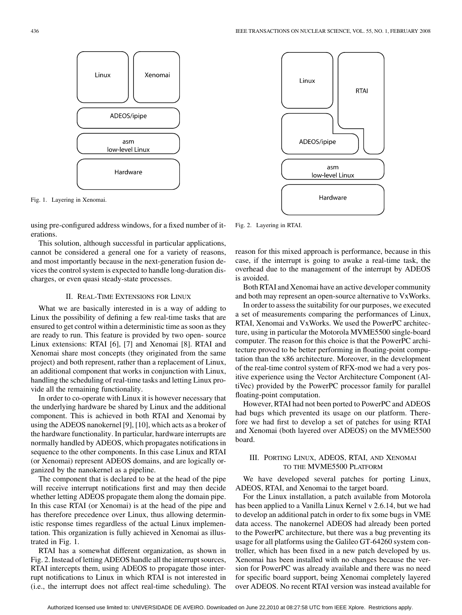

Fig. 1. Layering in Xenomai.

using pre-configured address windows, for a fixed number of iterations.

This solution, although successful in particular applications, cannot be considered a general one for a variety of reasons, and most importantly because in the next-generation fusion devices the control system is expected to handle long-duration discharges, or even quasi steady-state processes.

### II. REAL-TIME EXTENSIONS FOR LINUX

What we are basically interested in is a way of adding to Linux the possibility of defining a few real-time tasks that are ensured to get control within a deterministic time as soon as they are ready to run. This feature is provided by two open- source Linux extensions: RTAI [6], [7] and Xenomai [8]. RTAI and Xenomai share most concepts (they originated from the same project) and both represent, rather than a replacement of Linux, an additional component that works in conjunction with Linux, handling the scheduling of real-time tasks and letting Linux provide all the remaining functionality.

In order to co-operate with Linux it is however necessary that the underlying hardware be shared by Linux and the additional component. This is achieved in both RTAI and Xenomai by using the ADEOS nanokernel [9], [10], which acts as a broker of the hardware functionality. In particular, hardware interrupts are normally handled by ADEOS, which propagates notifications in sequence to the other components. In this case Linux and RTAI (or Xenomai) represent ADEOS domains, and are logically organized by the nanokernel as a pipeline.

The component that is declared to be at the head of the pipe will receive interrupt notifications first and may then decide whether letting ADEOS propagate them along the domain pipe. In this case RTAI (or Xenomai) is at the head of the pipe and has therefore precedence over Linux, thus allowing deterministic response times regardless of the actual Linux implementation. This organization is fully achieved in Xenomai as illustrated in Fig. 1.

RTAI has a somewhat different organization, as shown in Fig. 2. Instead of letting ADEOS handle all the interrupt sources, RTAI intercepts them, using ADEOS to propagate those interrupt notifications to Linux in which RTAI is not interested in (i.e., the interrupt does not affect real-time scheduling). The



Fig. 2. Layering in RTAI.

reason for this mixed approach is performance, because in this case, if the interrupt is going to awake a real-time task, the overhead due to the management of the interrupt by ADEOS is avoided.

Both RTAI and Xenomai have an active developer community and both may represent an open-source alternative to VxWorks.

In order to assess the suitability for our purposes, we executed a set of measurements comparing the performances of Linux, RTAI, Xenomai and VxWorks. We used the PowerPC architecture, using in particular the Motorola MVME5500 single-board computer. The reason for this choice is that the PowerPC architecture proved to be better performing in floating-point computation than the x86 architecture. Moreover, in the development of the real-time control system of RFX-mod we had a very positive experience using the Vector Architecture Component (AltiVec) provided by the PowerPC processor family for parallel floating-point computation.

However, RTAI had not been ported to PowerPC and ADEOS had bugs which prevented its usage on our platform. Therefore we had first to develop a set of patches for using RTAI and Xenomai (both layered over ADEOS) on the MVME5500 board.

# III. PORTING LINUX, ADEOS, RTAI, AND XENOMAI TO THE MVME5500 PLATFORM

We have developed several patches for porting Linux, ADEOS, RTAI, and Xenomai to the target board.

For the Linux installation, a patch available from Motorola has been applied to a Vanilla Linux Kernel v 2.6.14, but we had to develop an additional patch in order to fix some bugs in VME data access. The nanokernel ADEOS had already been ported to the PowerPC architecture, but there was a bug preventing its usage for all platforms using the Galileo GT-64260 system controller, which has been fixed in a new patch developed by us. Xenomai has been installed with no changes because the version for PowerPC was already available and there was no need for specific board support, being Xenomai completely layered over ADEOS. No recent RTAI version was instead available for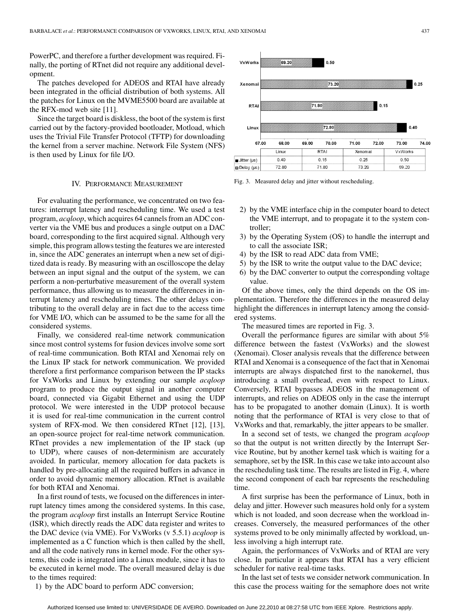PowerPC, and therefore a further development was required. Finally, the porting of RTnet did not require any additional development.

The patches developed for ADEOS and RTAI have already been integrated in the official distribution of both systems. All the patches for Linux on the MVME5500 board are available at the RFX-mod web site [11].

Since the target board is diskless, the boot of the system is first carried out by the factory-provided bootloader, Motload, which uses the Trivial File Transfer Protocol (TFTP) for downloading the kernel from a server machine. Network File System (NFS) is then used by Linux for file I/O.

#### IV. PERFORMANCE MEASUREMENT

For evaluating the performance, we concentrated on two features: interrupt latency and rescheduling time. We used a test program, *acqloop*, which acquires 64 cannels from an ADC converter via the VME bus and produces a single output on a DAC board, corresponding to the first acquired signal. Although very simple, this program allows testing the features we are interested in, since the ADC generates an interrupt when a new set of digitized data is ready. By measuring with an oscilloscope the delay between an input signal and the output of the system, we can perform a non-perturbative measurement of the overall system performance, thus allowing us to measure the differences in interrupt latency and rescheduling times. The other delays contributing to the overall delay are in fact due to the access time for VME I/O, which can be assumed to be the same for all the considered systems.

Finally, we considered real-time network communication since most control systems for fusion devices involve some sort of real-time communication. Both RTAI and Xenomai rely on the Linux IP stack for network communication. We provided therefore a first performance comparison between the IP stacks for VxWorks and Linux by extending our sample *acqloop* program to produce the output signal in another computer board, connected via Gigabit Ethernet and using the UDP protocol. We were interested in the UDP protocol because it is used for real-time communication in the current control system of RFX-mod. We then considered RTnet [12], [13], an open-source project for real-time network communication. RTnet provides a new implementation of the IP stack (up to UDP), where causes of non-determinism are accurately avoided. In particular, memory allocation for data packets is handled by pre-allocating all the required buffers in advance in order to avoid dynamic memory allocation. RTnet is available for both RTAI and Xenomai.

In a first round of tests, we focused on the differences in interrupt latency times among the considered systems. In this case, the program *acqloop* first installs an Interrupt Service Routine (ISR), which directly reads the ADC data register and writes to the DAC device (via VME). For VxWorks (v 5.5.1) *acqloop* is implemented as a C function which is then called by the shell, and all the code natively runs in kernel mode. For the other systems, this code is integrated into a Linux module, since it has to be executed in kernel mode. The overall measured delay is due to the times required:

1) by the ADC board to perform ADC conversion;



Fig. 3. Measured delay and jitter without rescheduling.

- 2) by the VME interface chip in the computer board to detect the VME interrupt, and to propagate it to the system controller;
- 3) by the Operating System (OS) to handle the interrupt and to call the associate ISR;
- 4) by the ISR to read ADC data from VME;
- 5) by the ISR to write the output value to the DAC device;
- 6) by the DAC converter to output the corresponding voltage value.

Of the above times, only the third depends on the OS implementation. Therefore the differences in the measured delay highlight the differences in interrupt latency among the considered systems.

The measured times are reported in Fig. 3.

Overall the performance figures are similar with about 5% difference between the fastest (VxWorks) and the slowest (Xenomai). Closer analysis reveals that the difference between RTAI and Xenomai is a consequence of the fact that in Xenomai interrupts are always dispatched first to the nanokernel, thus introducing a small overhead, even with respect to Linux. Conversely, RTAI bypasses ADEOS in the management of interrupts, and relies on ADEOS only in the case the interrupt has to be propagated to another domain (Linux). It is worth noting that the performance of RTAI is very close to that of VxWorks and that, remarkably, the jitter appears to be smaller.

In a second set of tests, we changed the program *acqloop* so that the output is not written directly by the Interrupt Service Routine, but by another kernel task which is waiting for a semaphore, set by the ISR. In this case we take into account also the rescheduling task time. The results are listed in Fig. 4, where the second component of each bar represents the rescheduling time.

A first surprise has been the performance of Linux, both in delay and jitter. However such measures hold only for a system which is not loaded, and soon decrease when the workload increases. Conversely, the measured performances of the other systems proved to be only minimally affected by workload, unless involving a high interrupt rate.

Again, the performances of VxWorks and of RTAI are very close. In particular it appears that RTAI has a very efficient scheduler for native real-time tasks.

In the last set of tests we consider network communication. In this case the process waiting for the semaphore does not write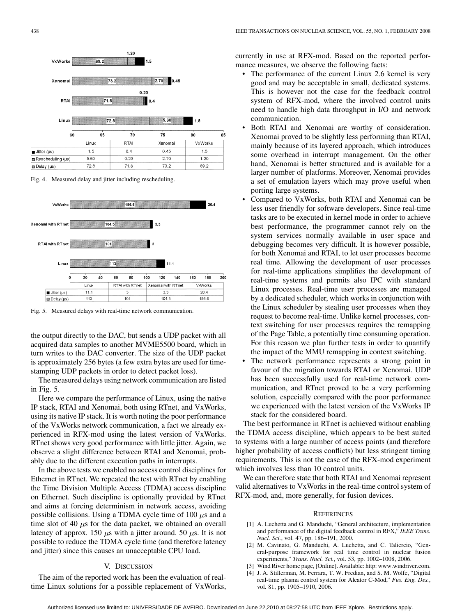

Fig. 4. Measured delay and jitter including rescheduling.



Fig. 5. Measured delays with real-time network communication.

the output directly to the DAC, but sends a UDP packet with all acquired data samples to another MVME5500 board, which in turn writes to the DAC converter. The size of the UDP packet is approximately 256 bytes (a few extra bytes are used for timestamping UDP packets in order to detect packet loss).

The measured delays using network communication are listed in Fig. 5.

Here we compare the performance of Linux, using the native IP stack, RTAI and Xenomai, both using RTnet, and VxWorks, using its native IP stack. It is worth noting the poor performance of the VxWorks network communication, a fact we already experienced in RFX-mod using the latest version of VxWorks. RTnet shows very good performance with little jitter. Again, we observe a slight difference between RTAI and Xenomai, probably due to the different execution paths in interrupts.

In the above tests we enabled no access control disciplines for Ethernet in RTnet. We repeated the test with RTnet by enabling the Time Division Multiple Access (TDMA) access discipline on Ethernet. Such discipline is optionally provided by RTnet and aims at forcing determinism in network access, avoiding possible collisions. Using a TDMA cycle time of 100  $\mu$ s and a time slot of 40  $\mu$ s for the data packet, we obtained an overall latency of approx. 150  $\mu$ s with a jitter around. 50  $\mu$ s. It is not possible to reduce the TDMA cycle time (and therefore latency and jitter) since this causes an unacceptable CPU load.

## V. DISCUSSION

The aim of the reported work has been the evaluation of realtime Linux solutions for a possible replacement of VxWorks, currently in use at RFX-mod. Based on the reported performance measures, we observe the following facts:

- The performance of the current Linux 2.6 kernel is very good and may be acceptable in small, dedicated systems. This is however not the case for the feedback control system of RFX-mod, where the involved control units need to handle high data throughput in I/O and network communication.
- Both RTAI and Xenomai are worthy of consideration. Xenomai proved to be slightly less performing than RTAI, mainly because of its layered approach, which introduces some overhead in interrupt management. On the other hand, Xenomai is better structured and is available for a larger number of platforms. Moreover, Xenomai provides a set of emulation layers which may prove useful when porting large systems.
- Compared to VxWorks, both RTAI and Xenomai can be less user friendly for software developers. Since real-time tasks are to be executed in kernel mode in order to achieve best performance, the programmer cannot rely on the system services normally available in user space and debugging becomes very difficult. It is however possible, for both Xenomai and RTAI, to let user processes become real time. Allowing the development of user processes for real-time applications simplifies the development of real-time systems and permits also IPC with standard Linux processes. Real-time user processes are managed by a dedicated scheduler, which works in conjunction with the Linux scheduler by stealing user processes when they request to become real-time. Unlike kernel processes, context switching for user processes requires the remapping of the Page Table, a potentially time consuming operation. For this reason we plan further tests in order to quantify the impact of the MMU remapping in context switching.
- The network performance represents a strong point in favour of the migration towards RTAI or Xenomai. UDP has been successfully used for real-time network communication, and RTnet proved to be a very performing solution, especially compared with the poor performance we experienced with the latest version of the VxWorks IP stack for the considered board.

The best performance in RTnet is achieved without enabling the TDMA access discipline, which appears to be best suited to systems with a large number of access points (and therefore higher probability of access conflicts) but less stringent timing requirements. This is not the case of the RFX-mod experiment which involves less than 10 control units.

We can therefore state that both RTAI and Xenomai represent valid alternatives to VxWorks in the real-time control system of RFX-mod, and, more generally, for fusion devices.

#### **REFERENCES**

- [1] A. Luchetta and G. Manduchi, "General architecture, implementation and performance of the digital feedback control in RFX," *IEEE Trans. Nucl. Sci.*, vol. 47, pp. 186–191, 2000.
- [2] M. Cavinato, G. Manduchi, A. Luchetta, and C. Taliercio, "General-purpose framework for real time control in nuclear fusion experiments," *Trans. Nucl. Sci.*, vol. 53, pp. 1002–1008, 2006.
- [3] Wind River home page, [Online]. Available: http: www.windriver.com.
- [4] J. A. Stillerman, M. Ferrara, T. W. Fredian, and S. M. Wolfe, "Digital real-time plasma control system for Alcator C-Mod," *Fus. Eng. Des.*, vol. 81, pp. 1905–1910, 2006.